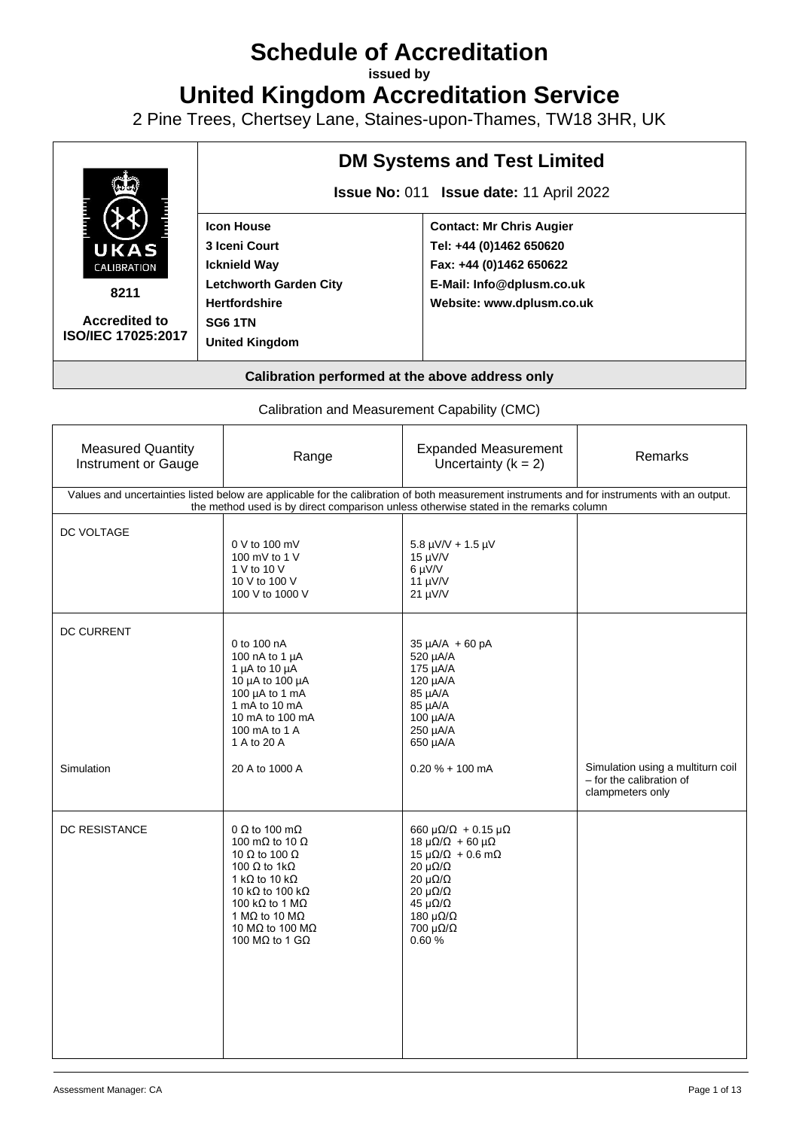# **Schedule of Accreditation**

**issued by**

**United Kingdom Accreditation Service**

2 Pine Trees, Chertsey Lane, Staines-upon-Thames, TW18 3HR, UK



Calibration and Measurement Capability (CMC)

| <b>Measured Quantity</b><br>Instrument or Gauge | Range                                                                                                                                                                                                                                                                                   | <b>Expanded Measurement</b><br>Uncertainty $(k = 2)$                                                                                                                                                                                                                                         | Remarks                                                                           |
|-------------------------------------------------|-----------------------------------------------------------------------------------------------------------------------------------------------------------------------------------------------------------------------------------------------------------------------------------------|----------------------------------------------------------------------------------------------------------------------------------------------------------------------------------------------------------------------------------------------------------------------------------------------|-----------------------------------------------------------------------------------|
|                                                 | Values and uncertainties listed below are applicable for the calibration of both measurement instruments and for instruments with an output.<br>the method used is by direct comparison unless otherwise stated in the remarks column                                                   |                                                                                                                                                                                                                                                                                              |                                                                                   |
| DC VOLTAGE                                      | 0 V to 100 mV<br>100 mV to 1 V<br>1 V to 10 V<br>10 V to 100 V<br>100 V to 1000 V                                                                                                                                                                                                       | $5.8 \mu V/V + 1.5 \mu V$<br>$15 \mu V/V$<br>6 µV/V<br>$11 \mu V/V$<br>$21 \mu V/V$                                                                                                                                                                                                          |                                                                                   |
| <b>DC CURRENT</b>                               | 0 to 100 nA<br>100 nA to 1 µA<br>1 $\mu$ A to 10 $\mu$ A<br>10 µA to 100 µA<br>100 $\mu$ A to 1 mA<br>1 mA to 10 mA<br>10 mA to 100 mA<br>100 mA to 1 A<br>1 A to 20 A                                                                                                                  | $35 \mu A/A + 60 pA$<br>520 µA/A<br>175 µA/A<br>120 µA/A<br>85 µA/A<br>85 µA/A<br>100 µA/A<br>250 µA/A<br>650 µA/A                                                                                                                                                                           |                                                                                   |
| Simulation                                      | 20 A to 1000 A                                                                                                                                                                                                                                                                          | $0.20 \% + 100$ mA                                                                                                                                                                                                                                                                           | Simulation using a multiturn coil<br>- for the calibration of<br>clampmeters only |
| DC RESISTANCE                                   | 0 $\Omega$ to 100 m $\Omega$<br>100 m $\Omega$ to 10 $\Omega$<br>10 $\Omega$ to 100 $\Omega$<br>100 $\Omega$ to 1k $\Omega$<br>1 kQ to 10 kQ<br>10 kΩ to 100 kΩ<br>100 k $\Omega$ to 1 M $\Omega$<br>1 MQ to 10 MQ<br>10 M $\Omega$ to 100 M $\Omega$<br>100 M $\Omega$ to 1 G $\Omega$ | $660 \mu\Omega/\Omega + 0.15 \mu\Omega$<br>$18 \mu\Omega/\Omega$ + 60 $\mu\Omega$<br>$15 \mu\Omega/\Omega + 0.6 \text{ mA}$<br>$20 \mu\Omega/\Omega$<br>$20 \mu\Omega/\Omega$<br>$20 \mu\Omega/\Omega$<br>$45 \mu\Omega/\Omega$<br>180 $\mu\Omega/\Omega$<br>$700 \mu\Omega/\Omega$<br>0.60% |                                                                                   |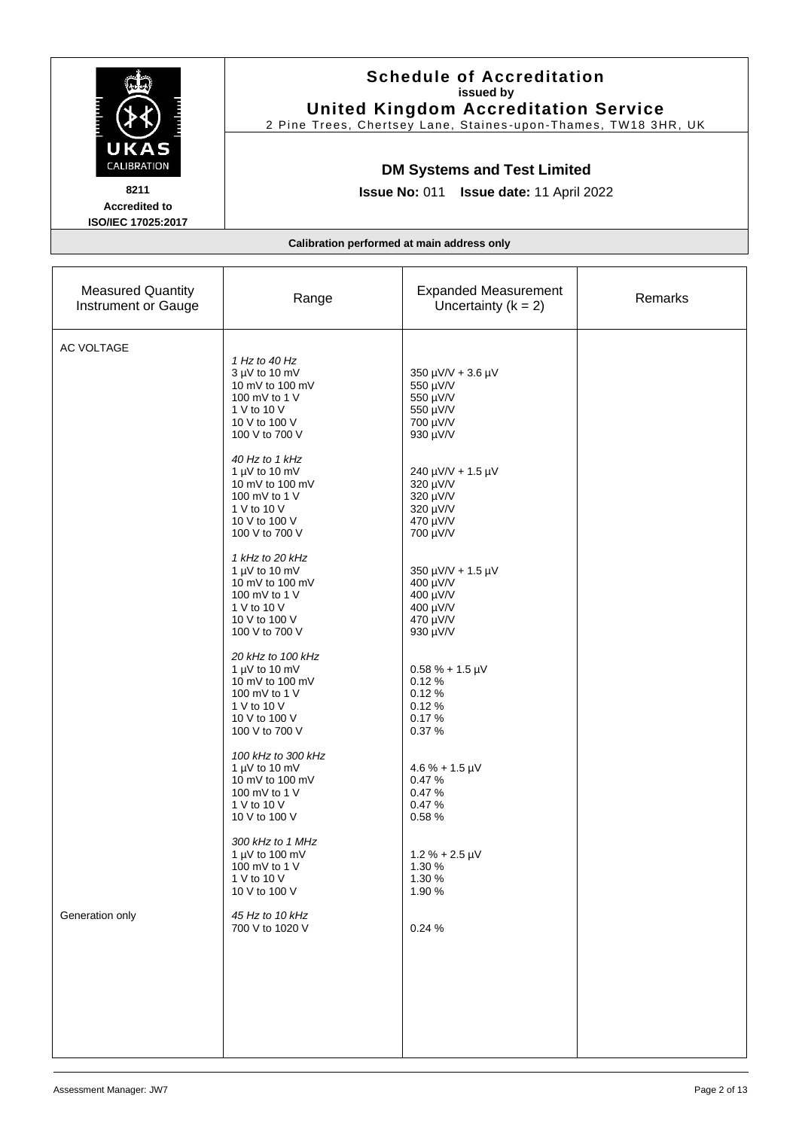|                                                                           | <b>Schedule of Accreditation</b><br>issued by<br><b>United Kingdom Accreditation Service</b><br>2 Pine Trees, Chertsey Lane, Staines-upon-Thames, TW18 3HR, UK<br><b>DM Systems and Test Limited</b><br>Issue No: 011 Issue date: 11 April 2022                                                                                                                                                                                                                                                                                                                                                                                                                                                                                                                           |                                                                                                                                                                                                                                                                                                                                                                                                                                                               |         |
|---------------------------------------------------------------------------|---------------------------------------------------------------------------------------------------------------------------------------------------------------------------------------------------------------------------------------------------------------------------------------------------------------------------------------------------------------------------------------------------------------------------------------------------------------------------------------------------------------------------------------------------------------------------------------------------------------------------------------------------------------------------------------------------------------------------------------------------------------------------|---------------------------------------------------------------------------------------------------------------------------------------------------------------------------------------------------------------------------------------------------------------------------------------------------------------------------------------------------------------------------------------------------------------------------------------------------------------|---------|
| UKAS<br>CALIBRATION<br>8211<br><b>Accredited to</b><br>ISO/IEC 17025:2017 |                                                                                                                                                                                                                                                                                                                                                                                                                                                                                                                                                                                                                                                                                                                                                                           |                                                                                                                                                                                                                                                                                                                                                                                                                                                               |         |
|                                                                           |                                                                                                                                                                                                                                                                                                                                                                                                                                                                                                                                                                                                                                                                                                                                                                           | Calibration performed at main address only                                                                                                                                                                                                                                                                                                                                                                                                                    |         |
| <b>Measured Quantity</b><br>Instrument or Gauge                           | Range                                                                                                                                                                                                                                                                                                                                                                                                                                                                                                                                                                                                                                                                                                                                                                     | <b>Expanded Measurement</b><br>Uncertainty $(k = 2)$                                                                                                                                                                                                                                                                                                                                                                                                          | Remarks |
| AC VOLTAGE<br>Generation only                                             | 1 Hz to 40 Hz<br>$3 \mu V$ to 10 mV<br>10 mV to 100 mV<br>100 mV to 1 V<br>1 V to 10 V<br>10 V to 100 V<br>100 V to 700 V<br>40 Hz to 1 kHz<br>1 $\mu$ V to 10 mV<br>10 mV to 100 mV<br>100 mV to 1 V<br>1 V to 10 V<br>10 V to 100 V<br>100 V to 700 V<br>1 kHz to 20 kHz<br>1 $\mu$ V to 10 mV<br>10 mV to 100 mV<br>100 mV to 1 V<br>1 V to 10 V<br>10 V to 100 V<br>100 V to 700 V<br>20 kHz to 100 kHz<br>1 $\mu$ V to 10 mV<br>10 mV to 100 mV<br>100 mV to 1 V<br>1 V to 10 V<br>10 V to 100 V<br>100 V to 700 V<br>100 kHz to 300 kHz<br>1 $\mu$ V to 10 mV<br>10 mV to 100 mV<br>100 mV to 1 V<br>1 V to 10 V<br>10 V to 100 V<br>300 kHz to 1 MHz<br>1 $\mu$ V to 100 mV<br>100 mV to 1 V<br>1 V to 10 V<br>10 V to 100 V<br>45 Hz to 10 kHz<br>700 V to 1020 V | 350 µV/V + 3.6 µV<br>550 µV/V<br>550 µV/V<br>550 µV/V<br>700 µV/V<br>930 µV/V<br>240 µV/V + 1.5 µV<br>320 µV/V<br>320 µV/V<br>320 µV/V<br>470 µV/V<br>700 µV/V<br>350 µV/V + 1.5 µV<br>400 µV/V<br>400 µV/V<br>400 µV/V<br>470 µV/V<br>930 µV/V<br>$0.58 \% + 1.5 \,\mu\text{V}$<br>0.12%<br>0.12%<br>0.12%<br>0.17%<br>0.37%<br>$4.6\% + 1.5 \,\mu\text{V}$<br>0.47%<br>0.47%<br>0.47%<br>0.58%<br>$1.2 % + 2.5 \mu V$<br>1.30 %<br>1.30 %<br>1.90%<br>0.24% |         |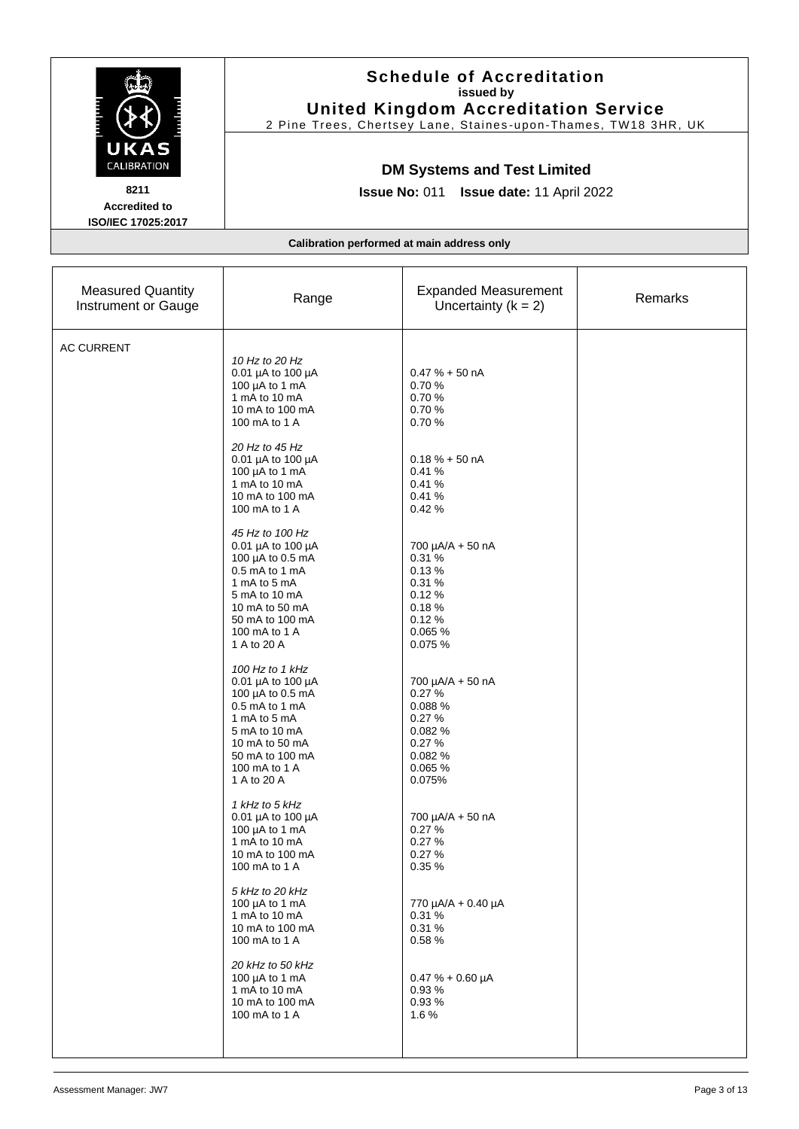|                                                                                  | <b>Schedule of Accreditation</b><br>issued by<br><b>United Kingdom Accreditation Service</b><br>2 Pine Trees, Chertsey Lane, Staines-upon-Thames, TW18 3HR, UK                                                                                                                                                                                                                                                                                                                                                                                                                                                                                                                                                                                                                                                                                                                                                |                                                                                                                                                                                                                                                                                                                                                                                                                                                                              |         |  |
|----------------------------------------------------------------------------------|---------------------------------------------------------------------------------------------------------------------------------------------------------------------------------------------------------------------------------------------------------------------------------------------------------------------------------------------------------------------------------------------------------------------------------------------------------------------------------------------------------------------------------------------------------------------------------------------------------------------------------------------------------------------------------------------------------------------------------------------------------------------------------------------------------------------------------------------------------------------------------------------------------------|------------------------------------------------------------------------------------------------------------------------------------------------------------------------------------------------------------------------------------------------------------------------------------------------------------------------------------------------------------------------------------------------------------------------------------------------------------------------------|---------|--|
| UKAS<br><b>CALIBRATION</b><br>8211<br><b>Accredited to</b><br>ISO/IEC 17025:2017 | <b>DM Systems and Test Limited</b><br>Issue No: 011 Issue date: 11 April 2022                                                                                                                                                                                                                                                                                                                                                                                                                                                                                                                                                                                                                                                                                                                                                                                                                                 |                                                                                                                                                                                                                                                                                                                                                                                                                                                                              |         |  |
|                                                                                  |                                                                                                                                                                                                                                                                                                                                                                                                                                                                                                                                                                                                                                                                                                                                                                                                                                                                                                               | Calibration performed at main address only                                                                                                                                                                                                                                                                                                                                                                                                                                   |         |  |
| <b>Measured Quantity</b><br>Instrument or Gauge                                  | Range                                                                                                                                                                                                                                                                                                                                                                                                                                                                                                                                                                                                                                                                                                                                                                                                                                                                                                         | <b>Expanded Measurement</b><br>Uncertainty $(k = 2)$                                                                                                                                                                                                                                                                                                                                                                                                                         | Remarks |  |
| <b>AC CURRENT</b>                                                                | 10 Hz to 20 Hz<br>0.01 µA to 100 µA<br>100 µA to 1 mA<br>1 mA to 10 mA<br>10 mA to 100 mA<br>100 mA to 1 A<br>20 Hz to 45 Hz<br>0.01 µA to 100 µA<br>100 µA to 1 mA<br>1 mA to 10 mA<br>10 mA to 100 mA<br>100 mA to 1 A<br>45 Hz to 100 Hz<br>0.01 µA to 100 µA<br>100 µA to 0.5 mA<br>0.5 mA to 1 mA<br>1 mA to 5 mA<br>5 mA to 10 mA<br>10 mA to 50 mA<br>50 mA to 100 mA<br>100 mA to 1 A<br>1 A to 20 A<br>100 Hz to 1 kHz<br>0.01 µA to 100 µA<br>100 µA to 0.5 mA<br>0.5 mA to 1 mA<br>1 mA to 5 mA<br>5 mA to 10 mA<br>10 mA to 50 mA<br>50 mA to 100 mA<br>100 mA to 1 A<br>1 A to 20 A<br>1 kHz to 5 kHz<br>0.01 µA to 100 µA<br>100 µA to 1 mA<br>1 mA to 10 mA<br>10 mA to 100 mA<br>100 mA to 1 A<br>5 kHz to 20 kHz<br>100 $\mu$ A to 1 mA<br>1 mA to 10 mA<br>10 mA to 100 mA<br>100 mA to 1 A<br>20 kHz to 50 kHz<br>100 $\mu$ A to 1 mA<br>1 mA to 10 mA<br>10 mA to 100 mA<br>100 mA to 1 A | $0.47% + 50$ nA<br>0.70%<br>0.70%<br>0.70%<br>0.70%<br>$0.18 \% + 50 nA$<br>0.41%<br>0.41%<br>0.41%<br>0.42%<br>700 µA/A + 50 nA<br>0.31%<br>0.13%<br>0.31%<br>0.12%<br>0.18%<br>0.12%<br>0.065 %<br>0.075%<br>700 µA/A + 50 nA<br>0.27%<br>0.088%<br>0.27%<br>0.082 %<br>0.27%<br>0.082 %<br>0.065 %<br>0.075%<br>700 µA/A + 50 nA<br>0.27%<br>0.27%<br>0.27%<br>0.35%<br>770 µA/A + 0.40 µA<br>0.31%<br>0.31%<br>0.58%<br>$0.47 \% + 0.60 \mu A$<br>0.93%<br>0.93%<br>1.6% |         |  |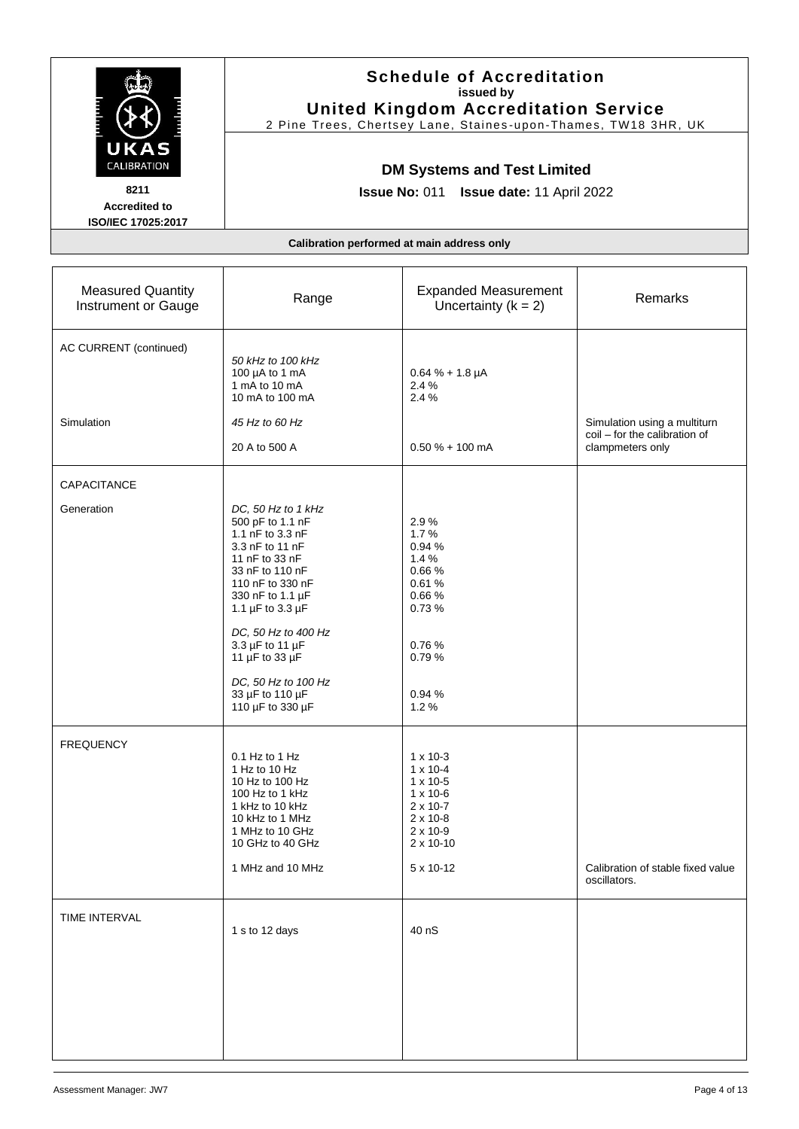|                                                                           | <b>Schedule of Accreditation</b><br>issued by<br><b>United Kingdom Accreditation Service</b><br>2 Pine Trees, Chertsey Lane, Staines-upon-Thames, TW18 3HR, UK<br><b>DM Systems and Test Limited</b><br><b>Issue No: 011</b><br>Issue date: 11 April 2022                                                |                                                                                                                                                                                    |                                                                                   |  |
|---------------------------------------------------------------------------|----------------------------------------------------------------------------------------------------------------------------------------------------------------------------------------------------------------------------------------------------------------------------------------------------------|------------------------------------------------------------------------------------------------------------------------------------------------------------------------------------|-----------------------------------------------------------------------------------|--|
| UKAS<br>CALIBRATION<br>8211<br><b>Accredited to</b><br>ISO/IEC 17025:2017 |                                                                                                                                                                                                                                                                                                          |                                                                                                                                                                                    |                                                                                   |  |
|                                                                           | Calibration performed at main address only                                                                                                                                                                                                                                                               |                                                                                                                                                                                    |                                                                                   |  |
| <b>Measured Quantity</b><br>Instrument or Gauge                           | Range                                                                                                                                                                                                                                                                                                    | <b>Expanded Measurement</b><br>Uncertainty $(k = 2)$                                                                                                                               | Remarks                                                                           |  |
| AC CURRENT (continued)                                                    | 50 kHz to 100 kHz<br>100 µA to 1 mA<br>1 mA to 10 mA<br>10 mA to 100 mA                                                                                                                                                                                                                                  | $0.64 \% + 1.8 \mu A$<br>2.4 %<br>2.4 %                                                                                                                                            |                                                                                   |  |
| Simulation                                                                | 45 Hz to 60 Hz<br>20 A to 500 A                                                                                                                                                                                                                                                                          | $0.50 \% + 100$ mA                                                                                                                                                                 | Simulation using a multiturn<br>coil - for the calibration of<br>clampmeters only |  |
| CAPACITANCE                                                               |                                                                                                                                                                                                                                                                                                          |                                                                                                                                                                                    |                                                                                   |  |
| Generation                                                                | DC, 50 Hz to 1 kHz<br>500 pF to 1.1 nF<br>1.1 nF to 3.3 nF<br>3.3 nF to 11 nF<br>11 nF to 33 nF<br>33 nF to 110 nF<br>110 nF to 330 nF<br>330 nF to 1.1 µF<br>1.1 µF to 3.3 µF<br>DC, 50 Hz to 400 Hz<br>3.3 µF to 11 µF<br>11 µF to 33 µF<br>DC, 50 Hz to 100 Hz<br>33 µF to 110 µF<br>110 µF to 330 µF | 2.9%<br>1.7%<br>0.94 %<br>1.4%<br>0.66%<br>0.61%<br>0.66%<br>0.73%<br>0.76%<br>0.79%<br>0.94%<br>1.2%                                                                              |                                                                                   |  |
| <b>FREQUENCY</b>                                                          | $0.1$ Hz to 1 Hz<br>1 Hz to 10 Hz<br>10 Hz to 100 Hz<br>100 Hz to 1 kHz<br>1 kHz to 10 kHz<br>10 kHz to 1 MHz<br>1 MHz to 10 GHz<br>10 GHz to 40 GHz<br>1 MHz and 10 MHz                                                                                                                                 | $1 \times 10 - 3$<br>$1 \times 10 - 4$<br>$1 \times 10 - 5$<br>$1 \times 10 - 6$<br>$2 \times 10 - 7$<br>$2 \times 10 - 8$<br>$2 \times 10 - 9$<br>$2 \times 10 - 10$<br>5 x 10-12 | Calibration of stable fixed value<br>oscillators.                                 |  |
| TIME INTERVAL                                                             | 1 s to 12 days                                                                                                                                                                                                                                                                                           | 40 nS                                                                                                                                                                              |                                                                                   |  |

 $\mathbf{r}$ 

 $\mathcal{L}_{\text{max}}$ 

Ė.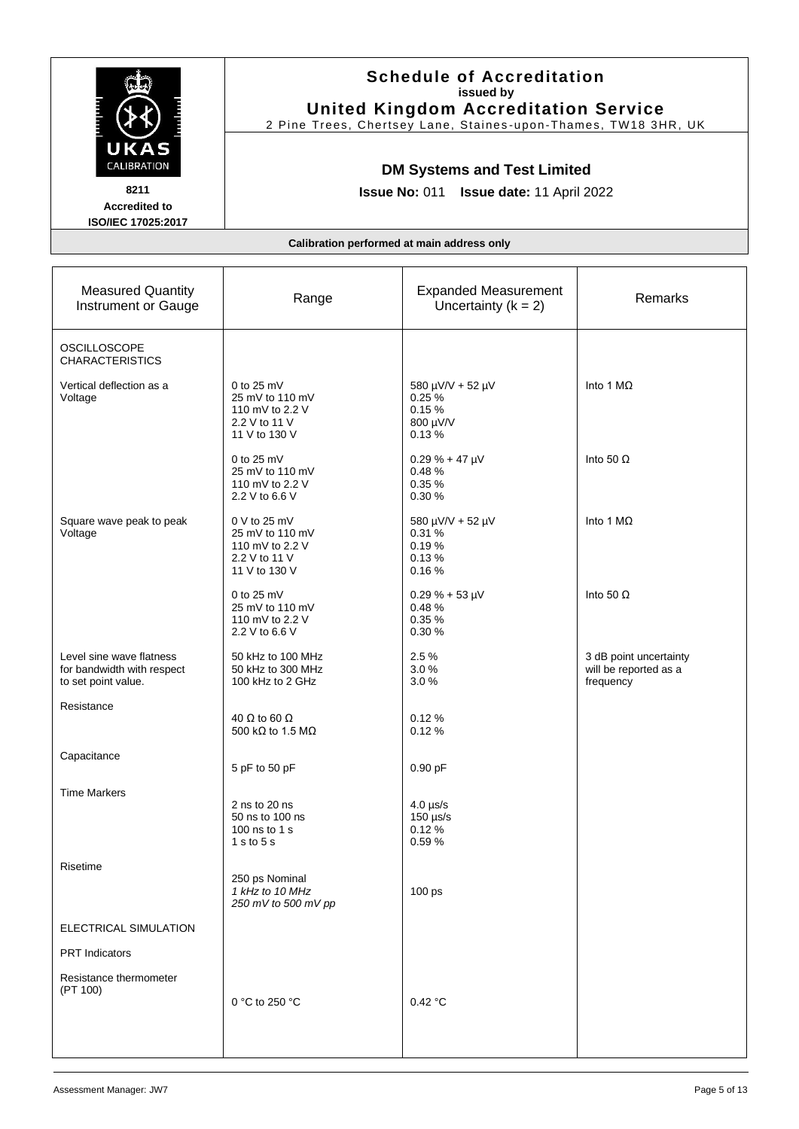|                                                                                  |                                                                                              | <b>Schedule of Accreditation</b><br>issued by<br><b>United Kingdom Accreditation Service</b><br>2 Pine Trees, Chertsey Lane, Staines-upon-Thames, TW18 3HR, UK |                                                              |  |
|----------------------------------------------------------------------------------|----------------------------------------------------------------------------------------------|----------------------------------------------------------------------------------------------------------------------------------------------------------------|--------------------------------------------------------------|--|
| UKAS<br><b>CALIBRATION</b><br>8211<br><b>Accredited to</b><br>ISO/IEC 17025:2017 | <b>DM Systems and Test Limited</b><br><b>Issue No: 011</b><br>Issue date: 11 April 2022      |                                                                                                                                                                |                                                              |  |
|                                                                                  | Calibration performed at main address only                                                   |                                                                                                                                                                |                                                              |  |
| <b>Measured Quantity</b><br>Instrument or Gauge                                  | Range                                                                                        | <b>Expanded Measurement</b><br>Uncertainty $(k = 2)$                                                                                                           | Remarks                                                      |  |
| <b>OSCILLOSCOPE</b><br><b>CHARACTERISTICS</b>                                    |                                                                                              |                                                                                                                                                                |                                                              |  |
| Vertical deflection as a<br>Voltage                                              | 0 to $25 \text{ mV}$<br>25 mV to 110 mV<br>110 mV to 2.2 V<br>2.2 V to 11 V<br>11 V to 130 V | 580 µV/V + 52 µV<br>0.25%<br>0.15%<br>800 µV/V<br>0.13%                                                                                                        | Into 1 $M\Omega$                                             |  |
|                                                                                  | 0 to $25 \text{ mV}$<br>25 mV to 110 mV<br>110 mV to 2.2 V<br>2.2 V to 6.6 V                 | $0.29 \% + 47 \mu V$<br>0.48%<br>0.35%<br>0.30%                                                                                                                | Into 50 $\Omega$                                             |  |
| Square wave peak to peak<br>Voltage                                              | 0 V to 25 mV<br>25 mV to 110 mV<br>110 mV to 2.2 V<br>2.2 V to 11 V<br>11 V to 130 V         | 580 µV/V + 52 µV<br>0.31%<br>0.19%<br>0.13%<br>0.16%                                                                                                           | Into 1 MΩ                                                    |  |
|                                                                                  | 0 to 25 mV<br>25 mV to 110 mV<br>110 mV to 2.2 V<br>2.2 V to 6.6 V                           | $0.29 \% + 53 \mu V$<br>0.48%<br>0.35%<br>0.30%                                                                                                                | Into 50 $\Omega$                                             |  |
| Level sine wave flatness<br>for bandwidth with respect<br>to set point value.    | 50 kHz to 100 MHz<br>50 kHz to 300 MHz<br>100 kHz to 2 GHz                                   | 2.5 %<br>3.0%<br>3.0%                                                                                                                                          | 3 dB point uncertainty<br>will be reported as a<br>frequency |  |
| Resistance                                                                       | 40 $\Omega$ to 60 $\Omega$<br>500 kΩ to 1.5 MΩ                                               | 0.12%<br>0.12%                                                                                                                                                 |                                                              |  |
| Capacitance                                                                      | 5 pF to 50 pF                                                                                | $0.90$ pF                                                                                                                                                      |                                                              |  |
| <b>Time Markers</b>                                                              | 2 ns to 20 ns<br>50 ns to 100 ns<br>100 ns to 1 s<br>$1s$ to $5s$                            | $4.0 \,\mu s/s$<br>$150 \,\mathrm{\upmu s/s}$<br>0.12%<br>0.59%                                                                                                |                                                              |  |
| Risetime                                                                         | 250 ps Nominal<br>1 kHz to 10 MHz<br>250 mV to 500 mV pp                                     | 100 ps                                                                                                                                                         |                                                              |  |
| ELECTRICAL SIMULATION                                                            |                                                                                              |                                                                                                                                                                |                                                              |  |
| <b>PRT</b> Indicators                                                            |                                                                                              |                                                                                                                                                                |                                                              |  |
| Resistance thermometer<br>(PT 100)                                               | 0 °C to 250 °C                                                                               | 0.42 °C                                                                                                                                                        |                                                              |  |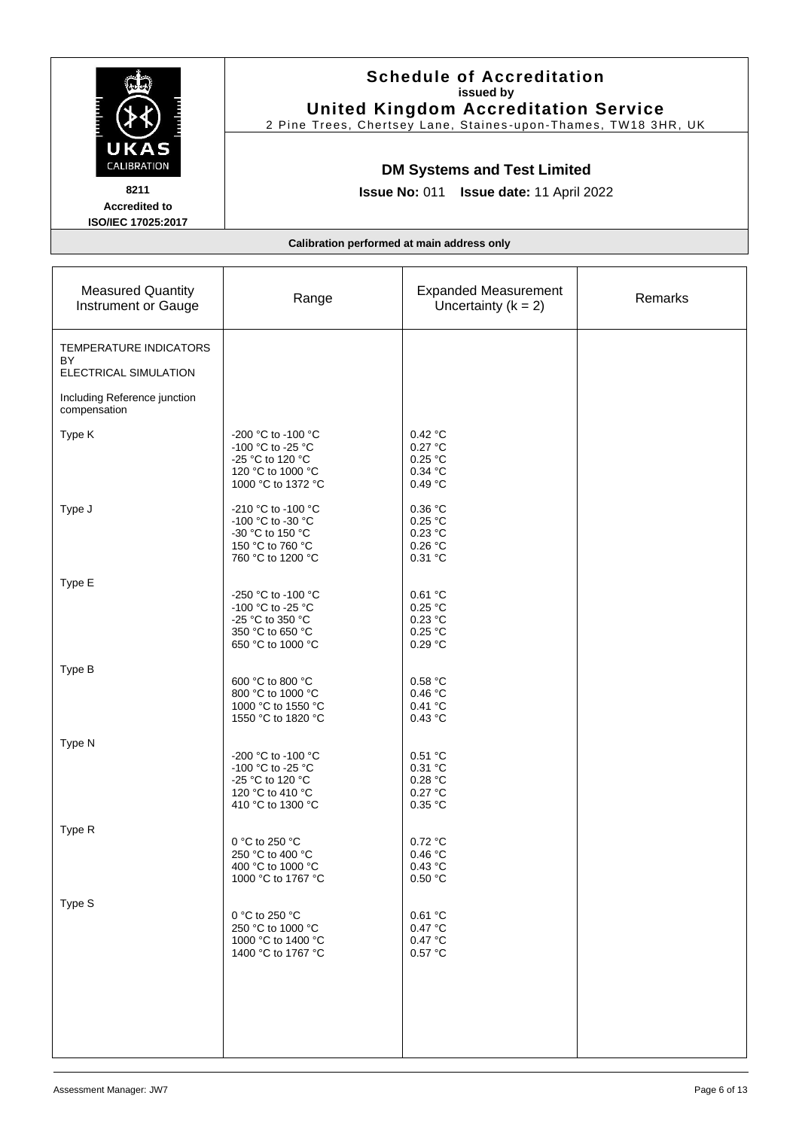|                                                                   | <b>Schedule of Accreditation</b><br>issued by<br><b>United Kingdom Accreditation Service</b><br>2 Pine Trees, Chertsey Lane, Staines-upon-Thames, TW18 3HR, UK |                                                      |         |
|-------------------------------------------------------------------|----------------------------------------------------------------------------------------------------------------------------------------------------------------|------------------------------------------------------|---------|
| CALIBRATION<br>8211<br><b>Accredited to</b><br>ISO/IEC 17025:2017 | <b>DM Systems and Test Limited</b><br>Issue No: 011 Issue date: 11 April 2022                                                                                  |                                                      |         |
|                                                                   | Calibration performed at main address only                                                                                                                     |                                                      |         |
| <b>Measured Quantity</b><br>Instrument or Gauge                   | Range                                                                                                                                                          | <b>Expanded Measurement</b><br>Uncertainty $(k = 2)$ | Remarks |
| TEMPERATURE INDICATORS<br>BY<br>ELECTRICAL SIMULATION             |                                                                                                                                                                |                                                      |         |
| Including Reference junction<br>compensation                      |                                                                                                                                                                |                                                      |         |
| Type K                                                            | -200 °C to -100 °C<br>-100 °C to -25 °C<br>-25 °C to 120 °C<br>120 °C to 1000 °C<br>1000 °C to 1372 °C                                                         | 0.42 °C<br>0.27 °C<br>0.25 °C<br>0.34 °C<br>0.49 °C  |         |
| Type J                                                            | -210 °C to -100 °C<br>-100 °C to -30 °C<br>-30 °C to 150 °C<br>150 °C to 760 °C<br>760 °C to 1200 °C                                                           | 0.36 °C<br>0.25 °C<br>0.23 °C<br>0.26 °C<br>0.31 °C  |         |
| Type E                                                            | -250 °C to -100 °C<br>-100 °C to -25 °C<br>-25 °C to 350 °C<br>350 °C to 650 °C<br>650 °C to 1000 °C                                                           | 0.61 °C<br>0.25 °C<br>0.23 °C<br>0.25 °C<br>0.29 °C  |         |
| Type B                                                            | 600 °C to 800 °C<br>800 °C to 1000 °C<br>1000 °C to 1550 °C<br>1550 °C to 1820 °C                                                                              | 0.58 °C<br>0.46 °C<br>0.41 °C<br>0.43 °C             |         |
| Type N                                                            | $-200$ °C to -100 °C<br>-100 °C to -25 °C<br>-25 °C to 120 °C<br>120 °C to 410 °C<br>410 °C to 1300 °C                                                         | 0.51 °C<br>0.31 °C<br>0.28 °C<br>0.27 °C<br>0.35 °C  |         |
| Type R                                                            | 0 °C to 250 °C<br>250 °C to 400 °C<br>400 °C to 1000 °C<br>1000 °C to 1767 °C                                                                                  | 0.72 °C<br>0.46 °C<br>0.43 °C<br>0.50 °C             |         |
| Type S                                                            | 0 °C to 250 °C<br>250 °C to 1000 °C<br>1000 °C to 1400 °C<br>1400 °C to 1767 °C                                                                                | 0.61 °C<br>0.47 °C<br>0.47 °C<br>0.57 °C             |         |
|                                                                   |                                                                                                                                                                |                                                      |         |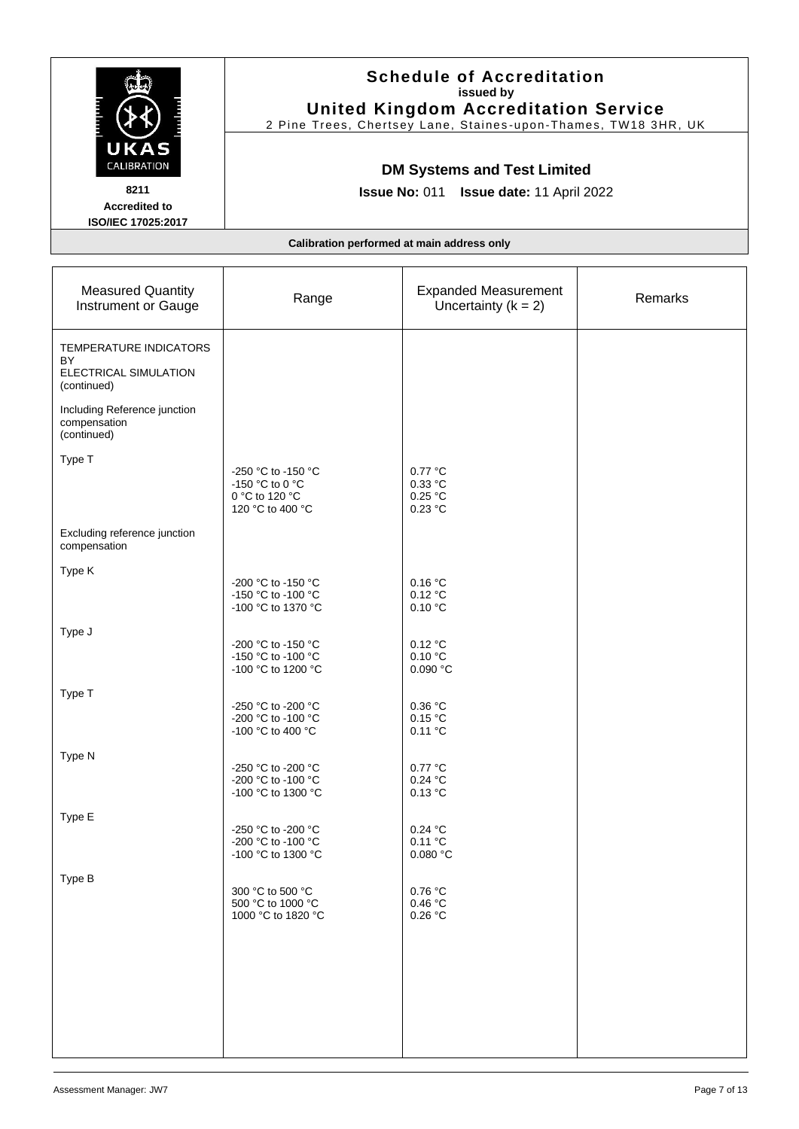|                                                                                                                                     |                                                                               | <b>Schedule of Accreditation</b><br>issued by<br><b>United Kingdom Accreditation Service</b><br>2 Pine Trees, Chertsey Lane, Staines-upon-Thames, TW18 3HR, UK |         |  |
|-------------------------------------------------------------------------------------------------------------------------------------|-------------------------------------------------------------------------------|----------------------------------------------------------------------------------------------------------------------------------------------------------------|---------|--|
| UKAS<br>CALIBRATION<br>8211<br><b>Accredited to</b><br>ISO/IEC 17025:2017                                                           | <b>DM Systems and Test Limited</b><br>Issue No: 011 Issue date: 11 April 2022 |                                                                                                                                                                |         |  |
|                                                                                                                                     | Calibration performed at main address only                                    |                                                                                                                                                                |         |  |
| <b>Measured Quantity</b><br>Instrument or Gauge                                                                                     | Range                                                                         | <b>Expanded Measurement</b><br>Uncertainty $(k = 2)$                                                                                                           | Remarks |  |
| TEMPERATURE INDICATORS<br>BY<br>ELECTRICAL SIMULATION<br>(continued)<br>Including Reference junction<br>compensation<br>(continued) |                                                                               |                                                                                                                                                                |         |  |
| Type T                                                                                                                              | -250 °C to -150 °C<br>-150 °C to 0 °C<br>0 °C to 120 °C<br>120 °C to 400 °C   | 0.77 °C<br>0.33 °C<br>$0.25\ \mathrm{^\circ C}$<br>0.23 °C                                                                                                     |         |  |
| Excluding reference junction<br>compensation                                                                                        |                                                                               |                                                                                                                                                                |         |  |
| Type K                                                                                                                              | -200 °C to -150 °C<br>-150 °C to -100 °C<br>-100 °C to 1370 °C                | 0.16 °C<br>0.12 °C<br>0.10 °C                                                                                                                                  |         |  |
| Type J                                                                                                                              | -200 °C to -150 °C<br>-150 °C to -100 °C<br>-100 °C to 1200 °C                | 0.12 °C<br>0.10 °C<br>0.090 °C                                                                                                                                 |         |  |
| Type T                                                                                                                              | -250 °C to -200 °C<br>-200 °C to -100 °C<br>-100 °C to 400 °C                 | 0.36 °C<br>0.15 °C<br>0.11 °C                                                                                                                                  |         |  |
| Type N                                                                                                                              | -250 °C to -200 °C<br>-200 °C to -100 °C<br>-100 °C to 1300 °C                | 0.77 °C<br>0.24 °C<br>0.13 °C                                                                                                                                  |         |  |
| Type E                                                                                                                              | -250 °C to -200 °C<br>-200 °C to -100 °C<br>-100 °C to 1300 °C                | 0.24 °C<br>0.11 °C<br>0.080 °C                                                                                                                                 |         |  |
| Type B                                                                                                                              | 300 °C to 500 °C<br>500 °C to 1000 °C<br>1000 °C to 1820 °C                   | 0.76 °C<br>0.46 °C<br>0.26 °C                                                                                                                                  |         |  |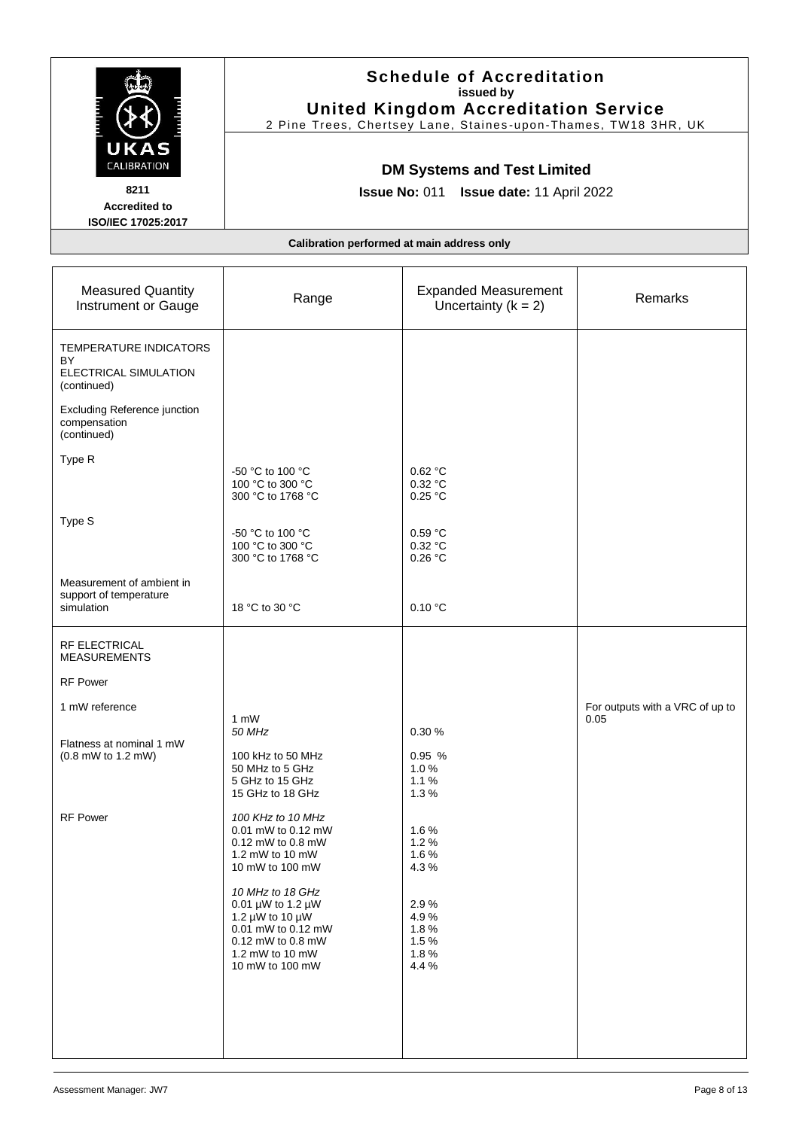|                                                                                                             | <b>Schedule of Accreditation</b><br>issued by<br><b>United Kingdom Accreditation Service</b><br>2 Pine Trees, Chertsey Lane, Staines-upon-Thames, TW18 3HR, UK |                                                      |                                         |  |
|-------------------------------------------------------------------------------------------------------------|----------------------------------------------------------------------------------------------------------------------------------------------------------------|------------------------------------------------------|-----------------------------------------|--|
| UKAS<br>CALIBRATION<br>8211<br><b>Accredited to</b><br>ISO/IEC 17025:2017                                   | <b>DM Systems and Test Limited</b><br>Issue No: 011 Issue date: 11 April 2022                                                                                  |                                                      |                                         |  |
|                                                                                                             | Calibration performed at main address only                                                                                                                     |                                                      |                                         |  |
| <b>Measured Quantity</b><br>Instrument or Gauge                                                             | Range                                                                                                                                                          | <b>Expanded Measurement</b><br>Uncertainty $(k = 2)$ | Remarks                                 |  |
| TEMPERATURE INDICATORS<br>BY<br>ELECTRICAL SIMULATION<br>(continued)<br><b>Excluding Reference junction</b> |                                                                                                                                                                |                                                      |                                         |  |
| compensation<br>(continued)<br>Type R                                                                       | -50 °C to 100 °C<br>100 °C to 300 °C                                                                                                                           | 0.62 °C<br>0.32 °C                                   |                                         |  |
| Type S                                                                                                      | 300 °C to 1768 °C<br>-50 °C to 100 °C<br>100 °C to 300 °C<br>300 °C to 1768 °C                                                                                 | 0.25 °C<br>0.59 °C<br>0.32 °C<br>0.26 °C             |                                         |  |
| Measurement of ambient in<br>support of temperature<br>simulation                                           | 18 °C to 30 °C                                                                                                                                                 | 0.10 °C                                              |                                         |  |
| <b>RF ELECTRICAL</b><br><b>MEASUREMENTS</b><br><b>RF Power</b>                                              |                                                                                                                                                                |                                                      |                                         |  |
| 1 mW reference<br>Flatness at nominal 1 mW                                                                  | $1 \text{ mW}$<br>50 MHz                                                                                                                                       | 0.30%                                                | For outputs with a VRC of up to<br>0.05 |  |
| (0.8 mW to 1.2 mW)                                                                                          | 100 kHz to 50 MHz<br>50 MHz to 5 GHz<br>5 GHz to 15 GHz<br>15 GHz to 18 GHz                                                                                    | 0.95%<br>1.0%<br>1.1%<br>1.3%                        |                                         |  |
| <b>RF Power</b>                                                                                             | 100 KHz to 10 MHz<br>0.01 mW to 0.12 mW<br>0.12 mW to 0.8 mW<br>1.2 mW to 10 mW<br>10 mW to 100 mW                                                             | 1.6%<br>1.2%<br>1.6%<br>4.3%                         |                                         |  |
|                                                                                                             | 10 MHz to 18 GHz<br>0.01 $\mu$ W to 1.2 $\mu$ W<br>1.2 $\mu$ W to 10 $\mu$ W<br>0.01 mW to 0.12 mW<br>0.12 mW to 0.8 mW<br>1.2 mW to 10 mW<br>10 mW to 100 mW  | 2.9%<br>4.9%<br>1.8%<br>1.5%<br>1.8%<br>4.4%         |                                         |  |
|                                                                                                             |                                                                                                                                                                |                                                      |                                         |  |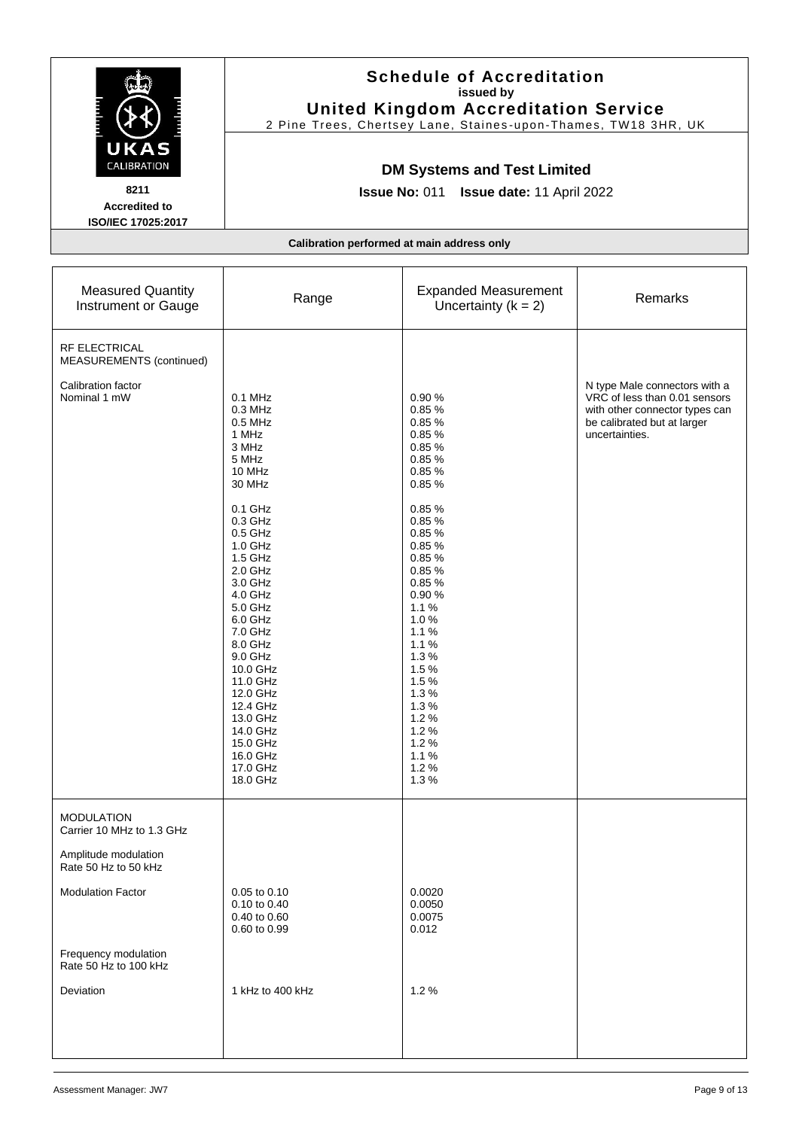|                                                                           | <b>United Kingdom Accreditation Service</b><br>2 Pine Trees, Chertsey Lane, Staines-upon-Thames, TW18 3HR, UK<br><b>DM Systems and Test Limited</b><br><b>Issue No: 011</b><br>Issue date: 11 April 2022                                                                                                                                                    |                                                                                                                                                                                                                                                                      |                                                                                                                                                   |
|---------------------------------------------------------------------------|-------------------------------------------------------------------------------------------------------------------------------------------------------------------------------------------------------------------------------------------------------------------------------------------------------------------------------------------------------------|----------------------------------------------------------------------------------------------------------------------------------------------------------------------------------------------------------------------------------------------------------------------|---------------------------------------------------------------------------------------------------------------------------------------------------|
| UKAS<br>CALIBRATION<br>8211<br><b>Accredited to</b><br>ISO/IEC 17025:2017 |                                                                                                                                                                                                                                                                                                                                                             |                                                                                                                                                                                                                                                                      |                                                                                                                                                   |
|                                                                           | Calibration performed at main address only                                                                                                                                                                                                                                                                                                                  |                                                                                                                                                                                                                                                                      |                                                                                                                                                   |
| <b>Measured Quantity</b><br>Instrument or Gauge                           | Range                                                                                                                                                                                                                                                                                                                                                       | <b>Expanded Measurement</b><br>Uncertainty $(k = 2)$                                                                                                                                                                                                                 | Remarks                                                                                                                                           |
| <b>RF ELECTRICAL</b><br>MEASUREMENTS (continued)                          |                                                                                                                                                                                                                                                                                                                                                             |                                                                                                                                                                                                                                                                      |                                                                                                                                                   |
| Calibration factor<br>Nominal 1 mW                                        | $0.1$ MHz<br>0.3 MHz<br>$0.5$ MHz<br>1 MHz<br>3 MHz<br>5 MHz<br>10 MHz<br>30 MHz<br>0.1 GHz<br>$0.3$ GHz<br>$0.5$ GHz<br>1.0 GHz<br>1.5 GHz<br>2.0 GHz<br>3.0 GHz<br>4.0 GHz<br>5.0 GHz<br>6.0 GHz<br>7.0 GHz<br>8.0 GHz<br>9.0 GHz<br>10.0 GHz<br>11.0 GHz<br>12.0 GHz<br>12.4 GHz<br>13.0 GHz<br>14.0 GHz<br>15.0 GHz<br>16.0 GHz<br>17.0 GHz<br>18.0 GHz | 0.90%<br>0.85%<br>0.85%<br>0.85%<br>0.85%<br>0.85%<br>0.85%<br>0.85%<br>0.85%<br>0.85%<br>0.85%<br>0.85%<br>0.85%<br>0.85%<br>0.85%<br>0.90%<br>1.1%<br>1.0%<br>1.1%<br>1.1%<br>1.3%<br>1.5%<br>1.5%<br>1.3%<br>1.3%<br>1.2%<br>1.2%<br>1.2%<br>1.1%<br>1.2%<br>1.3% | N type Male connectors with a<br>VRC of less than 0.01 sensors<br>with other connector types can<br>be calibrated but at larger<br>uncertainties. |
| <b>MODULATION</b><br>Carrier 10 MHz to 1.3 GHz<br>Amplitude modulation    |                                                                                                                                                                                                                                                                                                                                                             |                                                                                                                                                                                                                                                                      |                                                                                                                                                   |
| Rate 50 Hz to 50 kHz                                                      |                                                                                                                                                                                                                                                                                                                                                             |                                                                                                                                                                                                                                                                      |                                                                                                                                                   |
| <b>Modulation Factor</b>                                                  | 0.05 to 0.10<br>0.10 to 0.40<br>0.40 to 0.60<br>0.60 to 0.99                                                                                                                                                                                                                                                                                                | 0.0020<br>0.0050<br>0.0075<br>0.012                                                                                                                                                                                                                                  |                                                                                                                                                   |
| Frequency modulation<br>Rate 50 Hz to 100 kHz                             |                                                                                                                                                                                                                                                                                                                                                             |                                                                                                                                                                                                                                                                      |                                                                                                                                                   |
| Deviation                                                                 | 1 kHz to 400 kHz                                                                                                                                                                                                                                                                                                                                            | 1.2%                                                                                                                                                                                                                                                                 |                                                                                                                                                   |

**Schedule of Accreditation issued by**

 $\mathbb{Z}$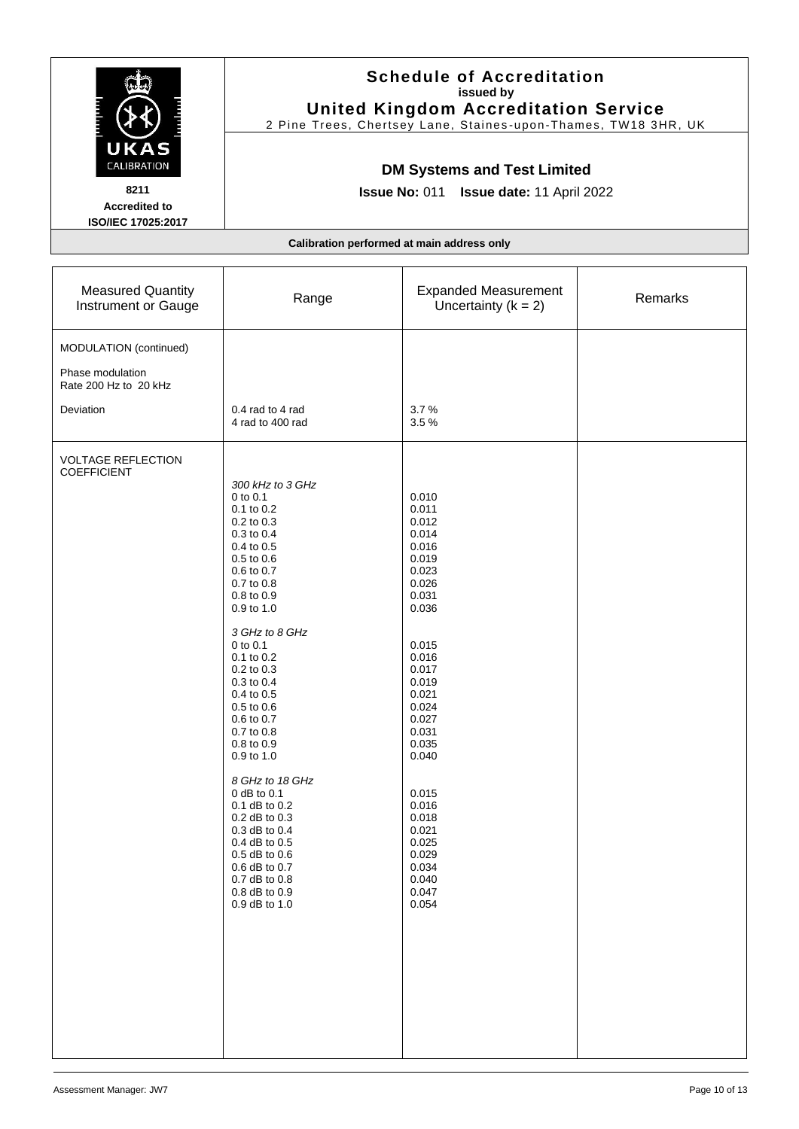|                                                                     | <b>Schedule of Accreditation</b><br>issued by<br><b>United Kingdom Accreditation Service</b><br>2 Pine Trees, Chertsey Lane, Staines-upon-Thames, TW18 3HR, UK<br><b>DM Systems and Test Limited</b><br>Issue No: 011 Issue date: 11 April 2022                                                                                                                                                                                                                                                                                       |                                                                                                                                                                                                                                                                            |         |
|---------------------------------------------------------------------|---------------------------------------------------------------------------------------------------------------------------------------------------------------------------------------------------------------------------------------------------------------------------------------------------------------------------------------------------------------------------------------------------------------------------------------------------------------------------------------------------------------------------------------|----------------------------------------------------------------------------------------------------------------------------------------------------------------------------------------------------------------------------------------------------------------------------|---------|
| UKAS<br>CALIBRATION<br>8211<br><b>Accredited to</b>                 |                                                                                                                                                                                                                                                                                                                                                                                                                                                                                                                                       |                                                                                                                                                                                                                                                                            |         |
| ISO/IEC 17025:2017                                                  | Calibration performed at main address only                                                                                                                                                                                                                                                                                                                                                                                                                                                                                            |                                                                                                                                                                                                                                                                            |         |
| <b>Measured Quantity</b><br>Instrument or Gauge                     | Range                                                                                                                                                                                                                                                                                                                                                                                                                                                                                                                                 | <b>Expanded Measurement</b><br>Uncertainty $(k = 2)$                                                                                                                                                                                                                       | Remarks |
| MODULATION (continued)<br>Phase modulation<br>Rate 200 Hz to 20 kHz |                                                                                                                                                                                                                                                                                                                                                                                                                                                                                                                                       |                                                                                                                                                                                                                                                                            |         |
| Deviation                                                           | 0.4 rad to 4 rad<br>4 rad to 400 rad                                                                                                                                                                                                                                                                                                                                                                                                                                                                                                  | 3.7%<br>3.5%                                                                                                                                                                                                                                                               |         |
| <b>VOLTAGE REFLECTION</b><br><b>COEFFICIENT</b>                     | 300 kHz to 3 GHz<br>0 to 0.1<br>0.1 to 0.2<br>0.2 to 0.3<br>0.3 to 0.4<br>0.4 to 0.5<br>0.5 to 0.6<br>0.6 to 0.7<br>0.7 to 0.8<br>0.8 to 0.9<br>0.9 to 1.0<br>3 GHz to 8 GHz<br>0 to 0.1<br>$0.1$ to $0.2$<br>$0.2$ to $0.3$<br>0.3 to 0.4<br>0.4 to 0.5<br>0.5 to 0.6<br>0.6 to 0.7<br>0.7 to 0.8<br>0.8 to 0.9<br>0.9 to 1.0<br>8 GHz to 18 GHz<br>$0$ dB to $0.1$<br>0.1 dB to 0.2<br>0.2 dB to 0.3<br>$0.3$ dB to $0.4$<br>0.4 dB to 0.5<br>$0.5$ dB to $0.6$<br>0.6 dB to 0.7<br>0.7 dB to 0.8<br>0.8 dB to 0.9<br>0.9 dB to 1.0 | 0.010<br>0.011<br>0.012<br>0.014<br>0.016<br>0.019<br>0.023<br>0.026<br>0.031<br>0.036<br>0.015<br>0.016<br>0.017<br>0.019<br>0.021<br>0.024<br>0.027<br>0.031<br>0.035<br>0.040<br>0.015<br>0.016<br>0.018<br>0.021<br>0.025<br>0.029<br>0.034<br>0.040<br>0.047<br>0.054 |         |

.<br>Note

 $\blacksquare$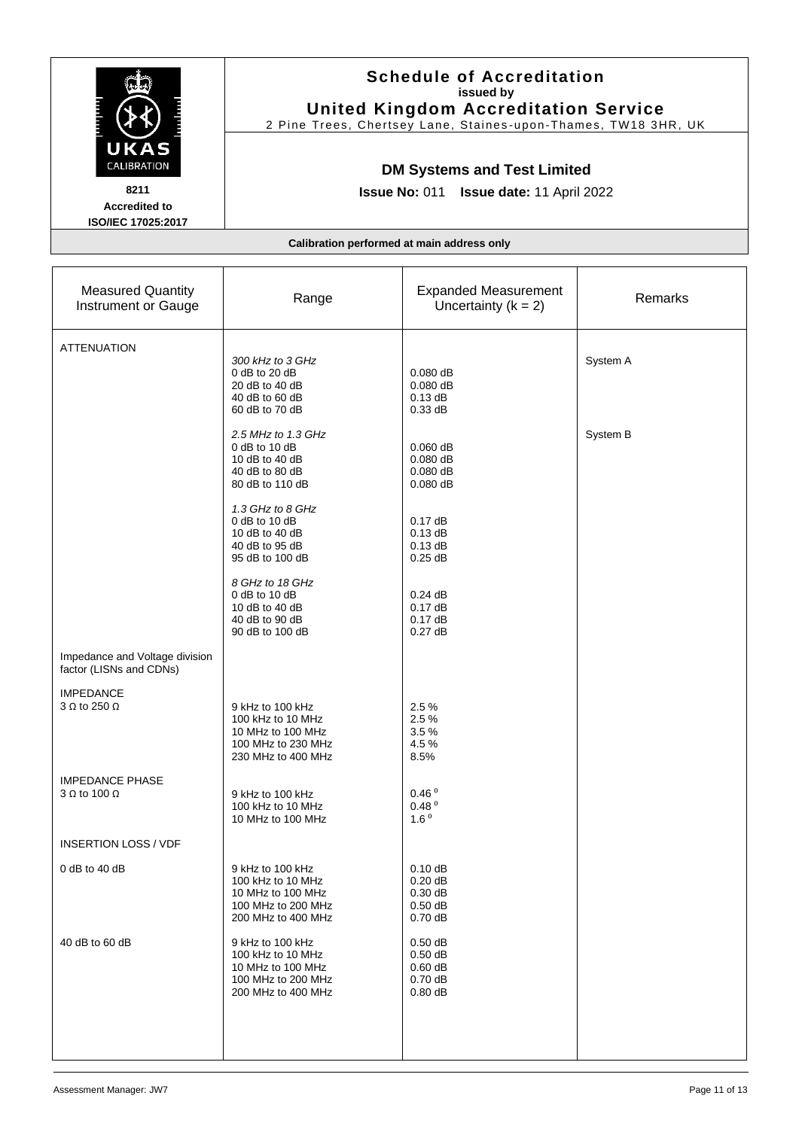|                                                                           | <b>Schedule of Accreditation</b><br>issued by<br><b>United Kingdom Accreditation Service</b><br>2 Pine Trees, Chertsey Lane, Staines-upon-Thames, TW18 3HR, UK |                                                                               |               |
|---------------------------------------------------------------------------|----------------------------------------------------------------------------------------------------------------------------------------------------------------|-------------------------------------------------------------------------------|---------------|
| UKAS<br>CALIBRATION<br>8211<br><b>Accredited to</b><br>ISO/IEC 17025:2017 |                                                                                                                                                                | <b>DM Systems and Test Limited</b><br>Issue No: 011 Issue date: 11 April 2022 |               |
|                                                                           |                                                                                                                                                                | Calibration performed at main address only                                    |               |
| <b>Measured Quantity</b><br>Instrument or Gauge                           | Range                                                                                                                                                          | <b>Expanded Measurement</b><br>Uncertainty $(k = 2)$                          | Remarks       |
| <b>ATTENUATION</b>                                                        | 300 kHz to 3 GHz<br>$0$ dB to 20 dB<br>20 dB to 40 dB<br>40 dB to 60 dB<br>60 dB to 70 dB                                                                      | $0.080$ dB<br>$0.080$ dB<br>0.13 dB<br>0.33 dB                                | System A      |
|                                                                           | 2.5 MHz to 1.3 GHz<br>$0$ dB to 10 dB<br>10 dB to 40 dB<br>40 dB to 80 dB<br>80 dB to 110 dB                                                                   | $0.060$ dB<br>$0.080$ dB<br>$0.080$ dB<br>$0.080$ dB                          | System B      |
|                                                                           | 1.3 GHz to 8 GHz<br>0 dB to 10 dB<br>10 dB to 40 dB<br>40 dB to 95 dB<br>95 dB to 100 dB                                                                       | 0.17dB<br>0.13 dB<br>0.13 dB<br>$0.25$ dB                                     |               |
|                                                                           | 8 GHz to 18 GHz<br>$0$ dB to 10 dB<br>10 dB to 40 dB<br>40 dB to 90 dB<br>90 dB to 100 dB                                                                      | 0.24dB<br>0.17dB<br>0.17dB<br>0.27dB                                          |               |
| Impedance and Voltage division<br>factor (LISNs and CDNs)                 |                                                                                                                                                                |                                                                               |               |
| <b>IMPEDANCE</b><br>$3 \Omega$ to 250 $\Omega$                            | 9 kHz to 100 kHz<br>100 kHz to 10 MHz<br>10 MHz to 100 MHz<br>100 MHz to 230 MHz<br>230 MHz to 400 MHz                                                         | 2.5%<br>2.5%<br>3.5%<br>4.5%<br>8.5%                                          |               |
| <b>IMPEDANCE PHASE</b><br>$3 \Omega$ to 100 $\Omega$                      | 9 kHz to 100 kHz<br>100 kHz to 10 MHz<br>10 MHz to 100 MHz                                                                                                     | 0.46 <sup>0</sup><br>0.48 <sup>0</sup><br>1.6 <sup>0</sup>                    |               |
| <b>INSERTION LOSS / VDF</b>                                               |                                                                                                                                                                |                                                                               |               |
| $0$ dB to 40 dB                                                           | 9 kHz to 100 kHz<br>100 kHz to 10 MHz<br>10 MHz to 100 MHz<br>100 MHz to 200 MHz<br>200 MHz to 400 MHz                                                         | 0.10dB<br>$0.20$ dB<br>$0.30$ dB<br>$0.50$ dB<br>$0.70$ dB                    |               |
| 40 dB to 60 dB                                                            | 9 kHz to 100 kHz<br>100 kHz to 10 MHz<br>10 MHz to 100 MHz<br>100 MHz to 200 MHz<br>200 MHz to 400 MHz                                                         | $0.50$ dB<br>$0.50$ dB<br>$0.60$ dB<br>$0.70$ dB<br>$0.80$ dB                 |               |
| Assessment Manager: JW7                                                   |                                                                                                                                                                |                                                                               | Page 11 of 13 |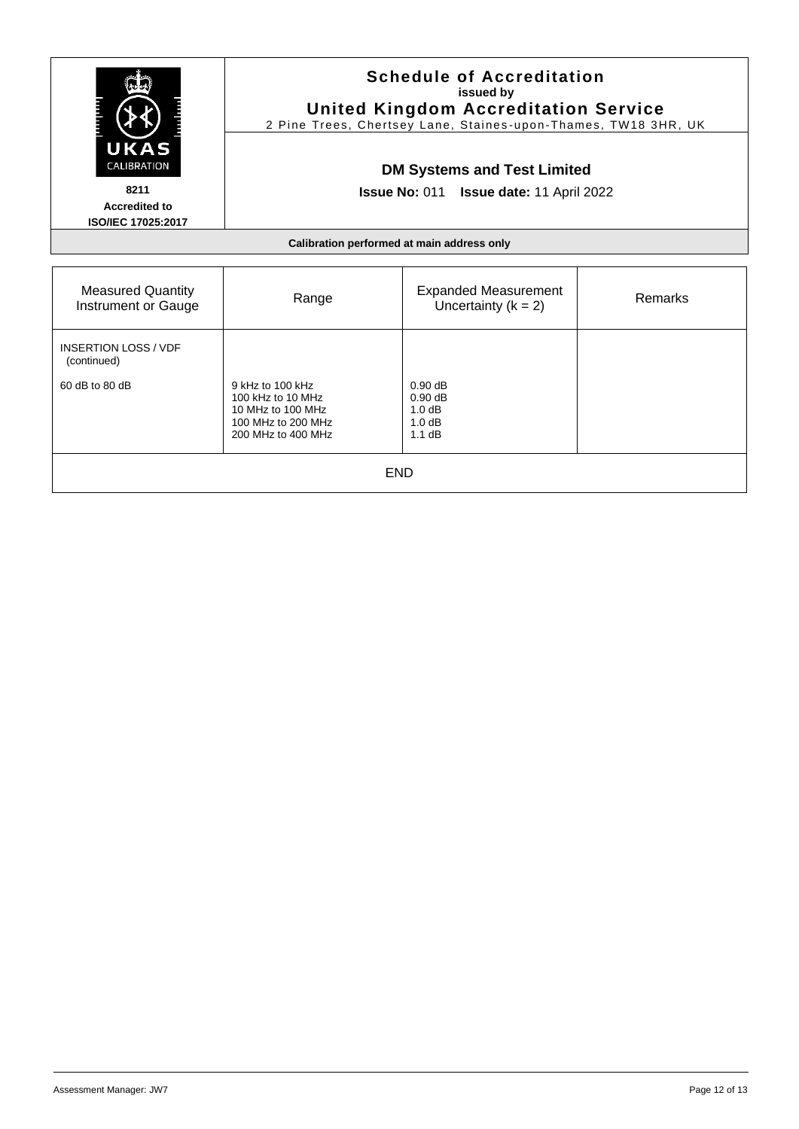| UKAS<br><b>CALIBRATION</b><br>8211<br><b>Accredited to</b><br>ISO/IEC 17025:2017 | <b>Schedule of Accreditation</b><br>issued by<br><b>United Kingdom Accreditation Service</b><br>2 Pine Trees, Chertsey Lane, Staines-upon-Thames, TW18 3HR, UK<br><b>DM Systems and Test Limited</b><br>Issue No: 011 Issue date: 11 April 2022 |                                                                     |         |
|----------------------------------------------------------------------------------|-------------------------------------------------------------------------------------------------------------------------------------------------------------------------------------------------------------------------------------------------|---------------------------------------------------------------------|---------|
|                                                                                  |                                                                                                                                                                                                                                                 | Calibration performed at main address only                          |         |
| <b>Measured Quantity</b><br>Instrument or Gauge                                  | Range                                                                                                                                                                                                                                           | <b>Expanded Measurement</b><br>Uncertainty $(k = 2)$                | Remarks |
| <b>INSERTION LOSS / VDF</b><br>(continued)                                       |                                                                                                                                                                                                                                                 |                                                                     |         |
| 60 dB to 80 dB                                                                   | 9 kHz to 100 kHz<br>100 kHz to 10 MHz<br>10 MHz to 100 MHz<br>100 MHz to 200 MHz<br>200 MHz to 400 MHz                                                                                                                                          | $0.90 \text{ dB}$<br>$0.90 \text{ dB}$<br>1.0dB<br>1.0 dB<br>1.1 dB |         |
| <b>END</b>                                                                       |                                                                                                                                                                                                                                                 |                                                                     |         |